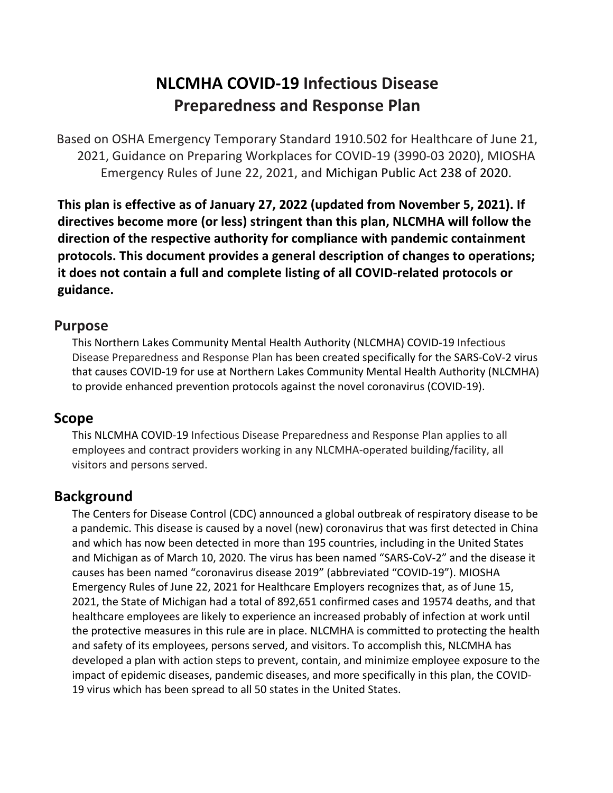# **NLCMHA COVID-19 Infectious Disease Preparedness and Response Plan**

Based on OSHA Emergency Temporary Standard 1910.502 for Healthcare of June 21, 2021, Guidance on Preparing Workplaces for COVID-19 (3990-03 2020), MIOSHA Emergency Rules of June 22, 2021, and Michigan Public Act 238 of 2020.

This plan is effective as of January 27, 2022 (updated from November 5, 2021). If directives become more (or less) stringent than this plan, NLCMHA will follow the direction of the respective authority for compliance with pandemic containment **protocols.** This document provides a general description of changes to operations; it does not contain a full and complete listing of all COVID-related protocols or **guidance.**

#### **Purpose**

This Northern Lakes Community Mental Health Authority (NLCMHA) COVID-19 Infectious Disease Preparedness and Response Plan has been created specifically for the SARS-CoV-2 virus that causes COVID-19 for use at Northern Lakes Community Mental Health Authority (NLCMHA) to provide enhanced prevention protocols against the novel coronavirus (COVID-19).

#### **Scope**

This NLCMHA COVID-19 Infectious Disease Preparedness and Response Plan applies to all employees and contract providers working in any NLCMHA-operated building/facility, all visitors and persons served.

## **Background**

The Centers for Disease Control (CDC) announced a global outbreak of respiratory disease to be a pandemic. This disease is caused by a novel (new) coronavirus that was first detected in China and which has now been detected in more than 195 countries, including in the United States and Michigan as of March 10, 2020. The virus has been named "SARS-CoV-2" and the disease it causes has been named "coronavirus disease 2019" (abbreviated "COVID-19"). MIOSHA Emergency Rules of June 22, 2021 for Healthcare Employers recognizes that, as of June 15, 2021, the State of Michigan had a total of 892,651 confirmed cases and 19574 deaths, and that healthcare employees are likely to experience an increased probably of infection at work until the protective measures in this rule are in place. NLCMHA is committed to protecting the health and safety of its employees, persons served, and visitors. To accomplish this, NLCMHA has developed a plan with action steps to prevent, contain, and minimize employee exposure to the impact of epidemic diseases, pandemic diseases, and more specifically in this plan, the COVID-19 virus which has been spread to all 50 states in the United States.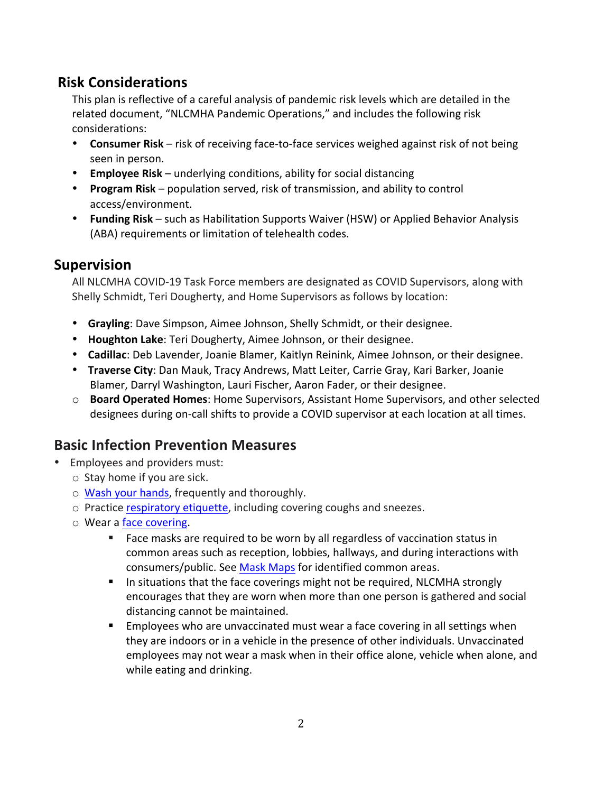### **Risk Considerations**

This plan is reflective of a careful analysis of pandemic risk levels which are detailed in the related document, "NLCMHA Pandemic Operations," and includes the following risk considerations: 

- **Consumer Risk** risk of receiving face-to-face services weighed against risk of not being seen in person.
- **Employee Risk** underlying conditions, ability for social distancing
- **Program Risk** population served, risk of transmission, and ability to control access/environment.
- **Funding Risk** such as Habilitation Supports Waiver (HSW) or Applied Behavior Analysis (ABA) requirements or limitation of telehealth codes.

### **Supervision**

All NLCMHA COVID-19 Task Force members are designated as COVID Supervisors, along with Shelly Schmidt, Teri Dougherty, and Home Supervisors as follows by location:

- **Grayling**: Dave Simpson, Aimee Johnson, Shelly Schmidt, or their designee.
- Houghton Lake: Teri Dougherty, Aimee Johnson, or their designee.
- **Cadillac**: Deb Lavender, Joanie Blamer, Kaitlyn Reinink, Aimee Johnson, or their designee.
- **Traverse City**: Dan Mauk, Tracy Andrews, Matt Leiter, Carrie Gray, Kari Barker, Joanie Blamer, Darryl Washington, Lauri Fischer, Aaron Fader, or their designee.
- $\circ$  **Board Operated Homes**: Home Supervisors, Assistant Home Supervisors, and other selected designees during on-call shifts to provide a COVID supervisor at each location at all times.

## **Basic Infection Prevention Measures**

- Employees and providers must:
	- $\circ$  Stay home if you are sick.
	- o Wash your hands, frequently and thoroughly.
	- o Practice respiratory etiquette, including covering coughs and sneezes.
	- $\circ$  Wear a face covering.
		- Face masks are required to be worn by all regardless of vaccination status in common areas such as reception, lobbies, hallways, and during interactions with consumers/public. See Mask Maps for identified common areas.
		- **EXECO** In situations that the face coverings might not be required, NLCMHA strongly encourages that they are worn when more than one person is gathered and social distancing cannot be maintained.
		- Employees who are unvaccinated must wear a face covering in all settings when they are indoors or in a vehicle in the presence of other individuals. Unvaccinated employees may not wear a mask when in their office alone, vehicle when alone, and while eating and drinking.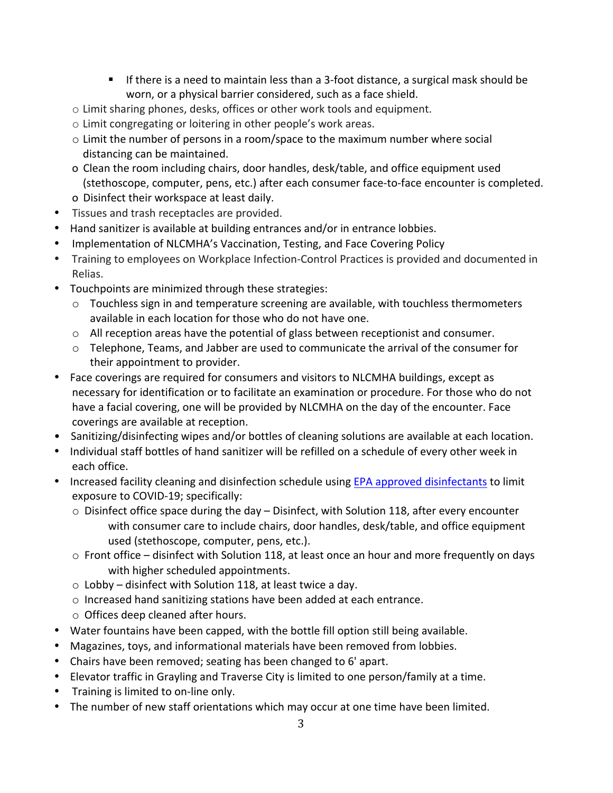- **E** If there is a need to maintain less than a 3-foot distance, a surgical mask should be worn, or a physical barrier considered, such as a face shield.
- $\circ$  Limit sharing phones, desks, offices or other work tools and equipment.
- $\circ$  Limit congregating or loitering in other people's work areas.
- $\circ$  Limit the number of persons in a room/space to the maximum number where social distancing can be maintained.
- o Clean the room including chairs, door handles, desk/table, and office equipment used (stethoscope, computer, pens, etc.) after each consumer face-to-face encounter is completed. o Disinfect their workspace at least daily.
- Tissues and trash receptacles are provided.
- Hand sanitizer is available at building entrances and/or in entrance lobbies.
- Implementation of NLCMHA's Vaccination, Testing, and Face Covering Policy
- Training to employees on Workplace Infection-Control Practices is provided and documented in Relias.
- Touchpoints are minimized through these strategies:
	- $\circ$  Touchless sign in and temperature screening are available, with touchless thermometers available in each location for those who do not have one.
	- $\circ$  All reception areas have the potential of glass between receptionist and consumer.
	- $\circ$  Telephone, Teams, and Jabber are used to communicate the arrival of the consumer for their appointment to provider.
- Face coverings are required for consumers and visitors to NLCMHA buildings, except as necessary for identification or to facilitate an examination or procedure. For those who do not have a facial covering, one will be provided by NLCMHA on the day of the encounter. Face coverings are available at reception.
- Sanitizing/disinfecting wipes and/or bottles of cleaning solutions are available at each location.
- Individual staff bottles of hand sanitizer will be refilled on a schedule of every other week in each office.
- Increased facility cleaning and disinfection schedule using EPA approved disinfectants to limit exposure to COVID-19; specifically:
	- $\circ$  Disinfect office space during the day Disinfect, with Solution 118, after every encounter with consumer care to include chairs, door handles, desk/table, and office equipment used (stethoscope, computer, pens, etc.).
	- $\circ$  Front office disinfect with Solution 118, at least once an hour and more frequently on days with higher scheduled appointments.
	- $\circ$  Lobby disinfect with Solution 118, at least twice a day.
	- o Increased hand sanitizing stations have been added at each entrance.
	- $\circ$  Offices deep cleaned after hours.
- Water fountains have been capped, with the bottle fill option still being available.
- Magazines, toys, and informational materials have been removed from lobbies.
- Chairs have been removed; seating has been changed to 6' apart.
- Elevator traffic in Grayling and Traverse City is limited to one person/family at a time.
- Training is limited to on-line only.
- The number of new staff orientations which may occur at one time have been limited.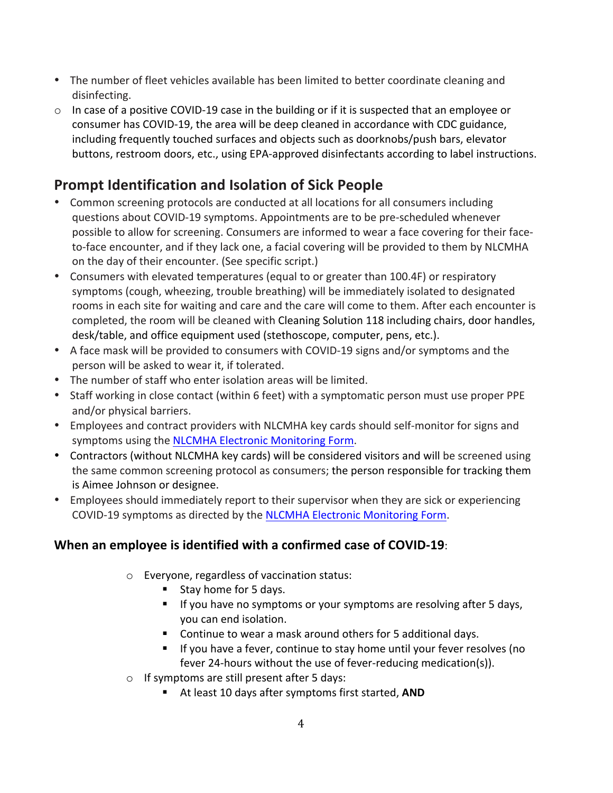- The number of fleet vehicles available has been limited to better coordinate cleaning and disinfecting.
- $\circ$  In case of a positive COVID-19 case in the building or if it is suspected that an employee or consumer has COVID-19, the area will be deep cleaned in accordance with CDC guidance, including frequently touched surfaces and objects such as doorknobs/push bars, elevator buttons, restroom doors, etc., using EPA-approved disinfectants according to label instructions.

## **Prompt Identification and Isolation of Sick People**

- Common screening protocols are conducted at all locations for all consumers including questions about COVID-19 symptoms. Appointments are to be pre-scheduled whenever possible to allow for screening. Consumers are informed to wear a face covering for their faceto-face encounter, and if they lack one, a facial covering will be provided to them by NLCMHA on the day of their encounter. (See specific script.)
- Consumers with elevated temperatures (equal to or greater than 100.4F) or respiratory symptoms (cough, wheezing, trouble breathing) will be immediately isolated to designated rooms in each site for waiting and care and the care will come to them. After each encounter is completed, the room will be cleaned with Cleaning Solution 118 including chairs, door handles, desk/table, and office equipment used (stethoscope, computer, pens, etc.).
- A face mask will be provided to consumers with COVID-19 signs and/or symptoms and the person will be asked to wear it, if tolerated.
- The number of staff who enter isolation areas will be limited.
- Staff working in close contact (within 6 feet) with a symptomatic person must use proper PPE and/or physical barriers.
- Employees and contract providers with NLCMHA key cards should self-monitor for signs and symptoms using the NLCMHA Electronic Monitoring Form.
- Contractors (without NLCMHA key cards) will be considered visitors and will be screened using the same common screening protocol as consumers; the person responsible for tracking them is Aimee Johnson or designee.
- Employees should immediately report to their supervisor when they are sick or experiencing COVID-19 symptoms as directed by the NLCMHA Electronic Monitoring Form.

### **When an employee is identified with a confirmed case of COVID-19:**

- $\circ$  Everyone, regardless of vaccination status:
	- Stay home for 5 days.
	- If you have no symptoms or your symptoms are resolving after 5 days, you can end isolation.
	- Continue to wear a mask around others for 5 additional days.
	- If you have a fever, continue to stay home until your fever resolves (no fever 24-hours without the use of fever-reducing medication(s)).
- $\circ$  If symptoms are still present after 5 days:
	- At least 10 days after symptoms first started, **AND**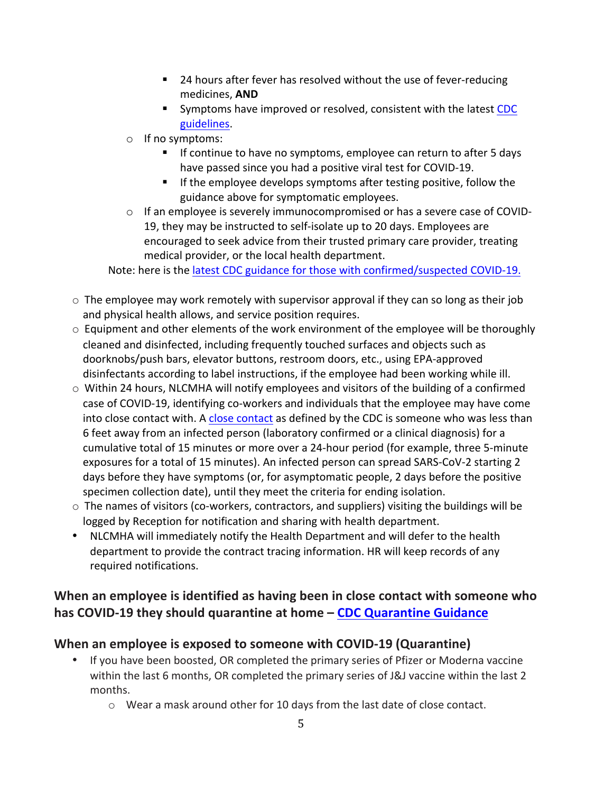- 24 hours after fever has resolved without the use of fever-reducing medicines, **AND**
- Symptoms have improved or resolved, consistent with the latest CDC guidelines.
- $\circ$  If no symptoms:
	- If continue to have no symptoms, employee can return to after 5 days have passed since you had a positive viral test for COVID-19.
	- **F** If the employee develops symptoms after testing positive, follow the guidance above for symptomatic employees.
- $\circ$  If an employee is severely immunocompromised or has a severe case of COVID-19, they may be instructed to self-isolate up to 20 days. Employees are encouraged to seek advice from their trusted primary care provider, treating medical provider, or the local health department.

Note: here is the latest CDC guidance for those with confirmed/suspected COVID-19.

- $\circ$  The employee may work remotely with supervisor approval if they can so long as their job and physical health allows, and service position requires.
- $\circ$  Equipment and other elements of the work environment of the employee will be thoroughly cleaned and disinfected, including frequently touched surfaces and objects such as doorknobs/push bars, elevator buttons, restroom doors, etc., using EPA-approved disinfectants according to label instructions, if the employee had been working while ill.
- $\circ$  Within 24 hours, NLCMHA will notify employees and visitors of the building of a confirmed case of COVID-19, identifying co-workers and individuals that the employee may have come into close contact with. A close contact as defined by the CDC is someone who was less than 6 feet away from an infected person (laboratory confirmed or a clinical diagnosis) for a cumulative total of 15 minutes or more over a 24-hour period (for example, three 5-minute exposures for a total of 15 minutes). An infected person can spread SARS-CoV-2 starting 2 days before they have symptoms (or, for asymptomatic people, 2 days before the positive specimen collection date), until they meet the criteria for ending isolation.
- $\circ$  The names of visitors (co-workers, contractors, and suppliers) visiting the buildings will be logged by Reception for notification and sharing with health department.
- NLCMHA will immediately notify the Health Department and will defer to the health department to provide the contract tracing information. HR will keep records of any required notifications.

### When an employee is identified as having been in close contact with someone who **has COVID-19** they should quarantine at home – CDC Quarantine Guidance

### **When an employee is exposed to someone with COVID-19 (Quarantine)**

- If you have been boosted, OR completed the primary series of Pfizer or Moderna vaccine within the last 6 months, OR completed the primary series of J&J vaccine within the last 2 months.
	- $\circ$  Wear a mask around other for 10 days from the last date of close contact.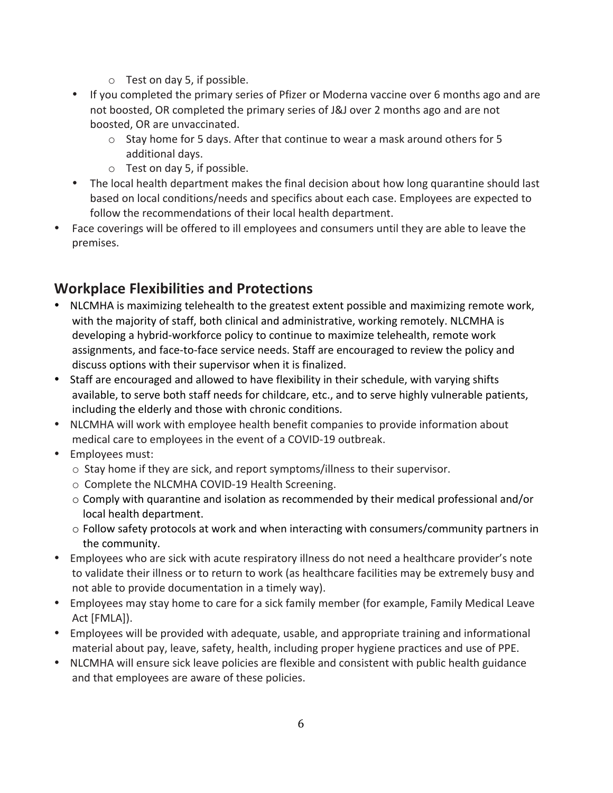- $\circ$  Test on day 5, if possible.
- If you completed the primary series of Pfizer or Moderna vaccine over 6 months ago and are not boosted, OR completed the primary series of J&J over 2 months ago and are not boosted, OR are unvaccinated.
	- $\circ$  Stay home for 5 days. After that continue to wear a mask around others for 5 additional days.
	- $\circ$  Test on day 5, if possible.
- The local health department makes the final decision about how long quarantine should last based on local conditions/needs and specifics about each case. Employees are expected to follow the recommendations of their local health department.
- Face coverings will be offered to ill employees and consumers until they are able to leave the premises.

## **Workplace Flexibilities and Protections**

- NLCMHA is maximizing telehealth to the greatest extent possible and maximizing remote work, with the majority of staff, both clinical and administrative, working remotely. NLCMHA is developing a hybrid-workforce policy to continue to maximize telehealth, remote work assignments, and face-to-face service needs. Staff are encouraged to review the policy and discuss options with their supervisor when it is finalized.
- Staff are encouraged and allowed to have flexibility in their schedule, with varying shifts available, to serve both staff needs for childcare, etc., and to serve highly vulnerable patients, including the elderly and those with chronic conditions.
- NLCMHA will work with employee health benefit companies to provide information about medical care to employees in the event of a COVID-19 outbreak.
- Employees must:
	- $\circ$  Stay home if they are sick, and report symptoms/illness to their supervisor.
	- $\circ$  Complete the NLCMHA COVID-19 Health Screening.
	- $\circ$  Comply with quarantine and isolation as recommended by their medical professional and/or local health department.
	- $\circ$  Follow safety protocols at work and when interacting with consumers/community partners in the community.
- Employees who are sick with acute respiratory illness do not need a healthcare provider's note to validate their illness or to return to work (as healthcare facilities may be extremely busy and not able to provide documentation in a timely way).
- Employees may stay home to care for a sick family member (for example, Family Medical Leave Act [FMLA]).
- Employees will be provided with adequate, usable, and appropriate training and informational material about pay, leave, safety, health, including proper hygiene practices and use of PPE.
- NLCMHA will ensure sick leave policies are flexible and consistent with public health guidance and that employees are aware of these policies.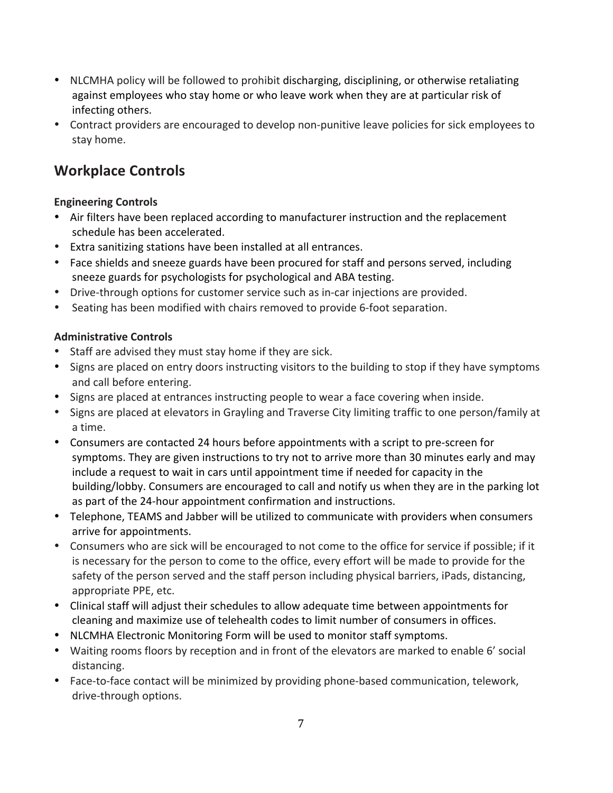- NLCMHA policy will be followed to prohibit discharging, disciplining, or otherwise retaliating against employees who stay home or who leave work when they are at particular risk of infecting others.
- Contract providers are encouraged to develop non-punitive leave policies for sick employees to stay home.

## **Workplace Controls**

#### **Engineering Controls**

- Air filters have been replaced according to manufacturer instruction and the replacement schedule has been accelerated.
- Extra sanitizing stations have been installed at all entrances.
- Face shields and sneeze guards have been procured for staff and persons served, including sneeze guards for psychologists for psychological and ABA testing.
- Drive-through options for customer service such as in-car injections are provided.
- Seating has been modified with chairs removed to provide 6-foot separation.

#### **Administrative Controls**

- Staff are advised they must stay home if they are sick.
- Signs are placed on entry doors instructing visitors to the building to stop if they have symptoms and call before entering.
- Signs are placed at entrances instructing people to wear a face covering when inside.
- Signs are placed at elevators in Grayling and Traverse City limiting traffic to one person/family at a time.
- Consumers are contacted 24 hours before appointments with a script to pre-screen for symptoms. They are given instructions to try not to arrive more than 30 minutes early and may include a request to wait in cars until appointment time if needed for capacity in the building/lobby. Consumers are encouraged to call and notify us when they are in the parking lot as part of the 24-hour appointment confirmation and instructions.
- Telephone, TEAMS and Jabber will be utilized to communicate with providers when consumers arrive for appointments.
- Consumers who are sick will be encouraged to not come to the office for service if possible; if it is necessary for the person to come to the office, every effort will be made to provide for the safety of the person served and the staff person including physical barriers, iPads, distancing, appropriate PPE, etc.
- Clinical staff will adjust their schedules to allow adequate time between appointments for cleaning and maximize use of telehealth codes to limit number of consumers in offices.
- NLCMHA Electronic Monitoring Form will be used to monitor staff symptoms.
- Waiting rooms floors by reception and in front of the elevators are marked to enable 6' social distancing.
- Face-to-face contact will be minimized by providing phone-based communication, telework, drive-through options.